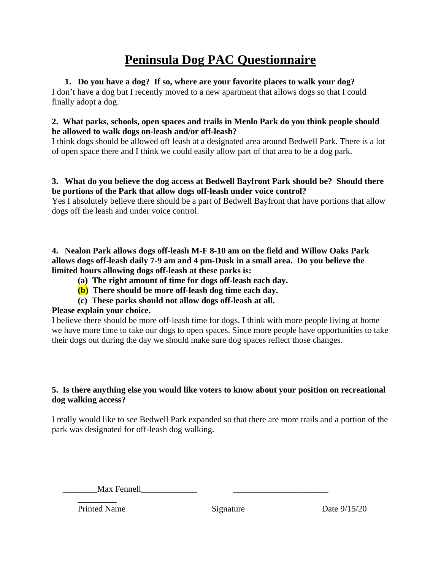# **Peninsula Dog PAC Questionnaire**

### **1. Do you have a dog? If so, where are your favorite places to walk your dog?**

I don't have a dog but I recently moved to a new apartment that allows dogs so that I could finally adopt a dog.

#### **2. What parks, schools, open spaces and trails in Menlo Park do you think people should be allowed to walk dogs on-leash and/or off-leash?**

I think dogs should be allowed off leash at a designated area around Bedwell Park. There is a lot of open space there and I think we could easily allow part of that area to be a dog park.

#### **3. What do you believe the dog access at Bedwell Bayfront Park should be? Should there be portions of the Park that allow dogs off-leash under voice control?**

Yes I absolutely believe there should be a part of Bedwell Bayfront that have portions that allow dogs off the leash and under voice control.

#### **4. Nealon Park allows dogs off-leash M-F 8-10 am on the field and Willow Oaks Park allows dogs off-leash daily 7-9 am and 4 pm-Dusk in a small area. Do you believe the limited hours allowing dogs off-leash at these parks is:**

- **(a) The right amount of time for dogs off-leash each day.**
- **(b) There should be more off-leash dog time each day.**
- **(c) These parks should not allow dogs off-leash at all.**

## **Please explain your choice.**

I believe there should be more off-leash time for dogs. I think with more people living at home we have more time to take our dogs to open spaces. Since more people have opportunities to take their dogs out during the day we should make sure dog spaces reflect those changes.

#### **5. Is there anything else you would like voters to know about your position on recreational dog walking access?**

I really would like to see Bedwell Park expanded so that there are more trails and a portion of the park was designated for off-leash dog walking.

\_\_\_\_\_\_\_\_Max Fennell\_\_\_\_\_\_\_\_\_\_\_\_\_ \_\_\_\_\_\_\_\_\_\_\_\_\_\_\_\_\_\_\_\_\_\_

 $\overline{\phantom{a}}$ Printed Name Signature Date 9/15/20